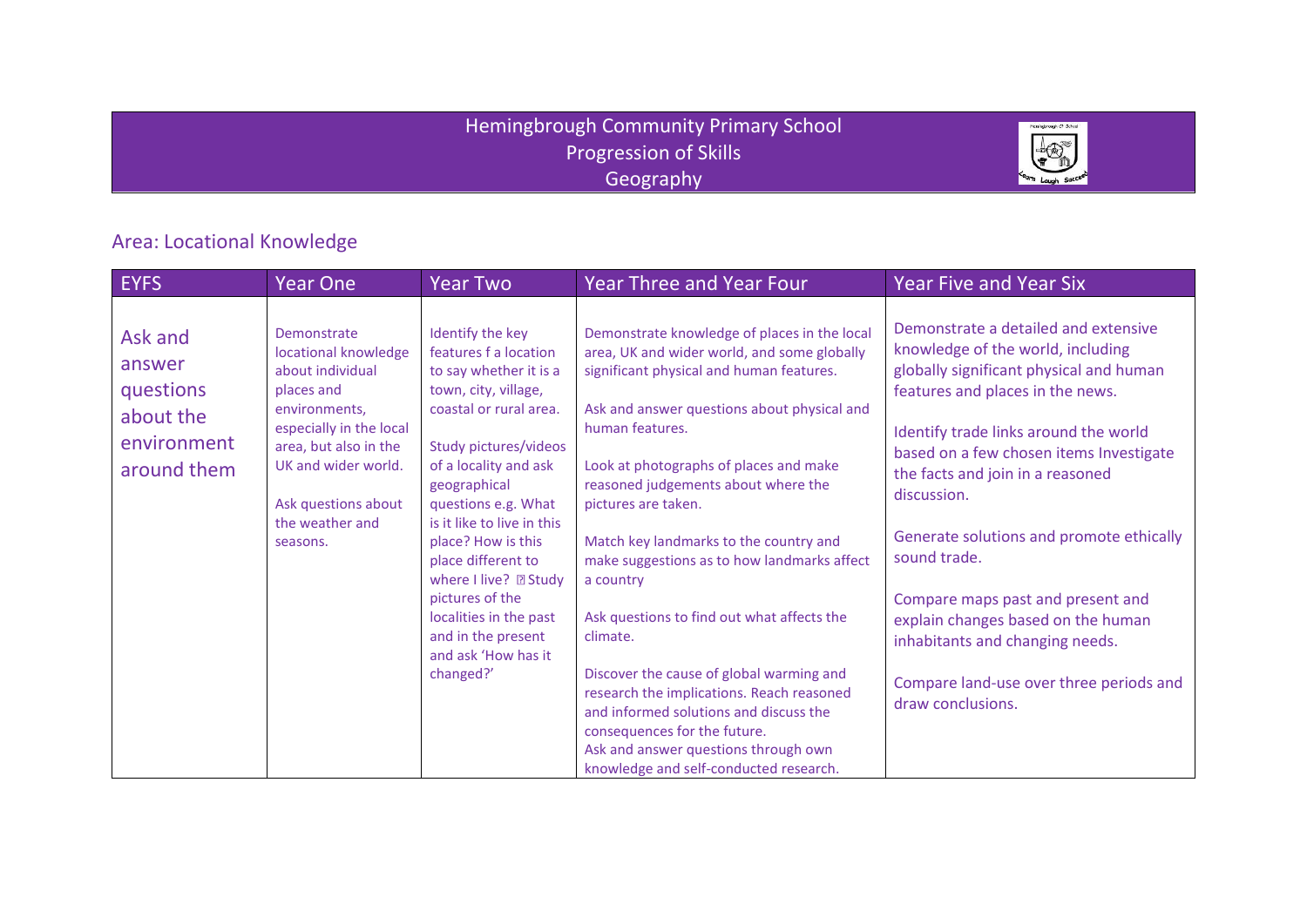### Hemingbrough Community Primary School Progression of Skills **Geography**



## Area: Locational Knowledge

| EYFS                                                                      | <b>Year One</b>                                                                                                                                                                                                         | <b>Year Two</b>                                                                                                                                                                                                                                                                                                                                                                                                          | <b>Year Three and Year Four</b>                                                                                                                                                                                                                                                                                                                                                                                                                                                                                                                                                                                                                                                                                                        | <b>Year Five and Year Six</b>                                                                                                                                                                                                                                                                                                                                                                                                                                                                                                             |
|---------------------------------------------------------------------------|-------------------------------------------------------------------------------------------------------------------------------------------------------------------------------------------------------------------------|--------------------------------------------------------------------------------------------------------------------------------------------------------------------------------------------------------------------------------------------------------------------------------------------------------------------------------------------------------------------------------------------------------------------------|----------------------------------------------------------------------------------------------------------------------------------------------------------------------------------------------------------------------------------------------------------------------------------------------------------------------------------------------------------------------------------------------------------------------------------------------------------------------------------------------------------------------------------------------------------------------------------------------------------------------------------------------------------------------------------------------------------------------------------------|-------------------------------------------------------------------------------------------------------------------------------------------------------------------------------------------------------------------------------------------------------------------------------------------------------------------------------------------------------------------------------------------------------------------------------------------------------------------------------------------------------------------------------------------|
| Ask and<br>answer<br>questions<br>about the<br>environment<br>around them | Demonstrate<br>locational knowledge<br>about individual<br>places and<br>environments.<br>especially in the local<br>area, but also in the<br>UK and wider world.<br>Ask questions about<br>the weather and<br>seasons. | Identify the key<br>features f a location<br>to say whether it is a<br>town, city, village,<br>coastal or rural area.<br>Study pictures/videos<br>of a locality and ask<br>geographical<br>questions e.g. What<br>is it like to live in this<br>place? How is this<br>place different to<br>where I live? 2 Study<br>pictures of the<br>localities in the past<br>and in the present<br>and ask 'How has it<br>changed?' | Demonstrate knowledge of places in the local<br>area, UK and wider world, and some globally<br>significant physical and human features.<br>Ask and answer questions about physical and<br>human features.<br>Look at photographs of places and make<br>reasoned judgements about where the<br>pictures are taken.<br>Match key landmarks to the country and<br>make suggestions as to how landmarks affect<br>a country<br>Ask questions to find out what affects the<br>climate.<br>Discover the cause of global warming and<br>research the implications. Reach reasoned<br>and informed solutions and discuss the<br>consequences for the future.<br>Ask and answer questions through own<br>knowledge and self-conducted research. | Demonstrate a detailed and extensive<br>knowledge of the world, including<br>globally significant physical and human<br>features and places in the news.<br>Identify trade links around the world<br>based on a few chosen items Investigate<br>the facts and join in a reasoned<br>discussion.<br>Generate solutions and promote ethically<br>sound trade.<br>Compare maps past and present and<br>explain changes based on the human<br>inhabitants and changing needs.<br>Compare land-use over three periods and<br>draw conclusions. |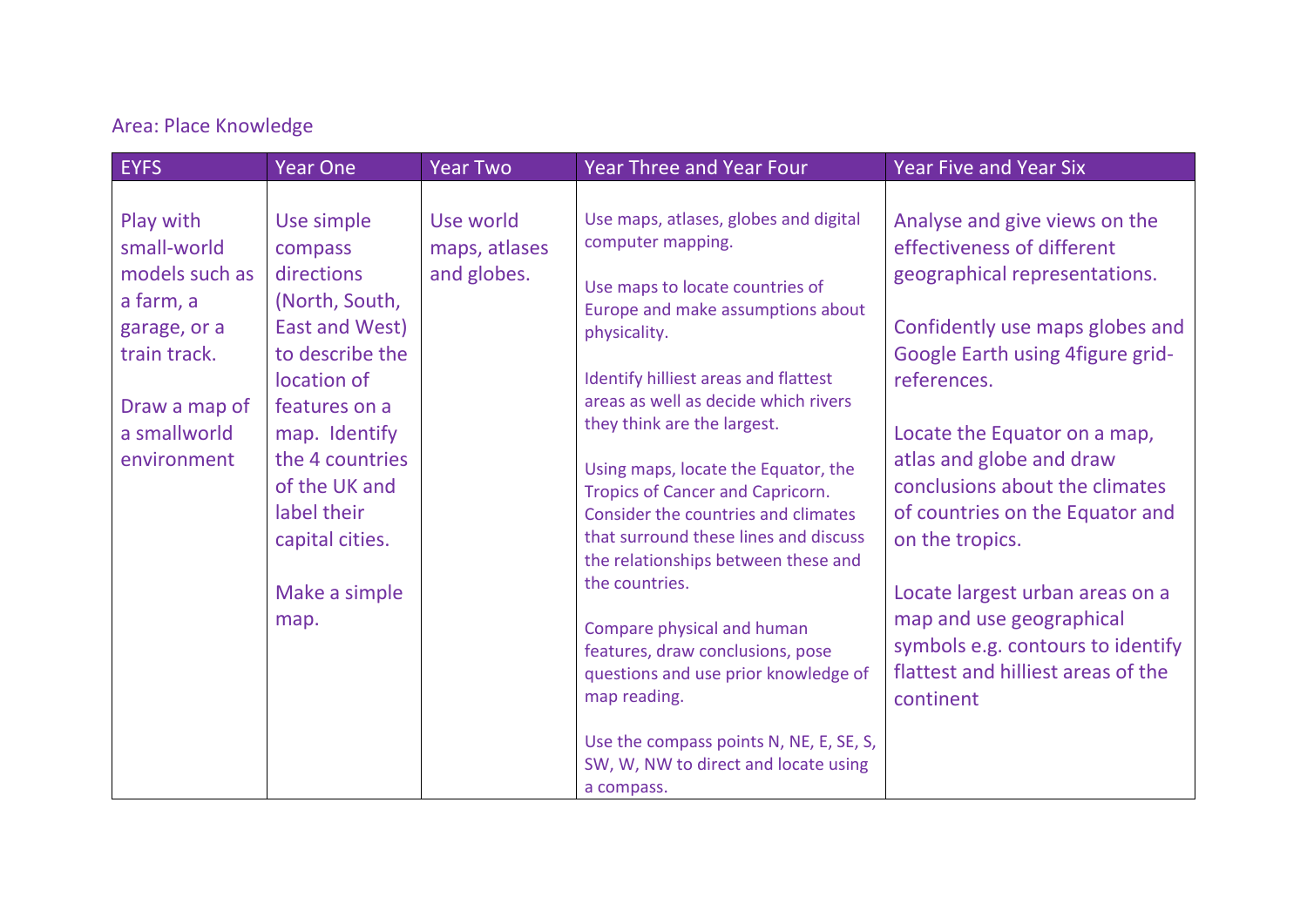# Area: Place Knowledge

| <b>EYFS</b>                                                                                                                             | <b>Year One</b>                                                                                                                                                                                                                            | <b>Year Two</b>                           | <b>Year Three and Year Four</b>                                                                                                                                                                                                                                                                                                                                                                                                                                                                                                                                                                                                                                                                                  | <b>Year Five and Year Six</b>                                                                                                                                                                                                                                                                                                                                                                                                                                                                  |
|-----------------------------------------------------------------------------------------------------------------------------------------|--------------------------------------------------------------------------------------------------------------------------------------------------------------------------------------------------------------------------------------------|-------------------------------------------|------------------------------------------------------------------------------------------------------------------------------------------------------------------------------------------------------------------------------------------------------------------------------------------------------------------------------------------------------------------------------------------------------------------------------------------------------------------------------------------------------------------------------------------------------------------------------------------------------------------------------------------------------------------------------------------------------------------|------------------------------------------------------------------------------------------------------------------------------------------------------------------------------------------------------------------------------------------------------------------------------------------------------------------------------------------------------------------------------------------------------------------------------------------------------------------------------------------------|
| Play with<br>small-world<br>models such as<br>a farm, a<br>garage, or a<br>train track.<br>Draw a map of<br>a smallworld<br>environment | Use simple<br>compass<br>directions<br>(North, South,<br>East and West)<br>to describe the<br>location of<br>features on a<br>map. Identify<br>the 4 countries<br>of the UK and<br>label their<br>capital cities.<br>Make a simple<br>map. | Use world<br>maps, atlases<br>and globes. | Use maps, atlases, globes and digital<br>computer mapping.<br>Use maps to locate countries of<br>Europe and make assumptions about<br>physicality.<br>Identify hilliest areas and flattest<br>areas as well as decide which rivers<br>they think are the largest.<br>Using maps, locate the Equator, the<br>Tropics of Cancer and Capricorn.<br>Consider the countries and climates<br>that surround these lines and discuss<br>the relationships between these and<br>the countries.<br>Compare physical and human<br>features, draw conclusions, pose<br>questions and use prior knowledge of<br>map reading.<br>Use the compass points N, NE, E, SE, S,<br>SW, W, NW to direct and locate using<br>a compass. | Analyse and give views on the<br>effectiveness of different<br>geographical representations.<br>Confidently use maps globes and<br>Google Earth using 4 figure grid-<br>references.<br>Locate the Equator on a map,<br>atlas and globe and draw<br>conclusions about the climates<br>of countries on the Equator and<br>on the tropics.<br>Locate largest urban areas on a<br>map and use geographical<br>symbols e.g. contours to identify<br>flattest and hilliest areas of the<br>continent |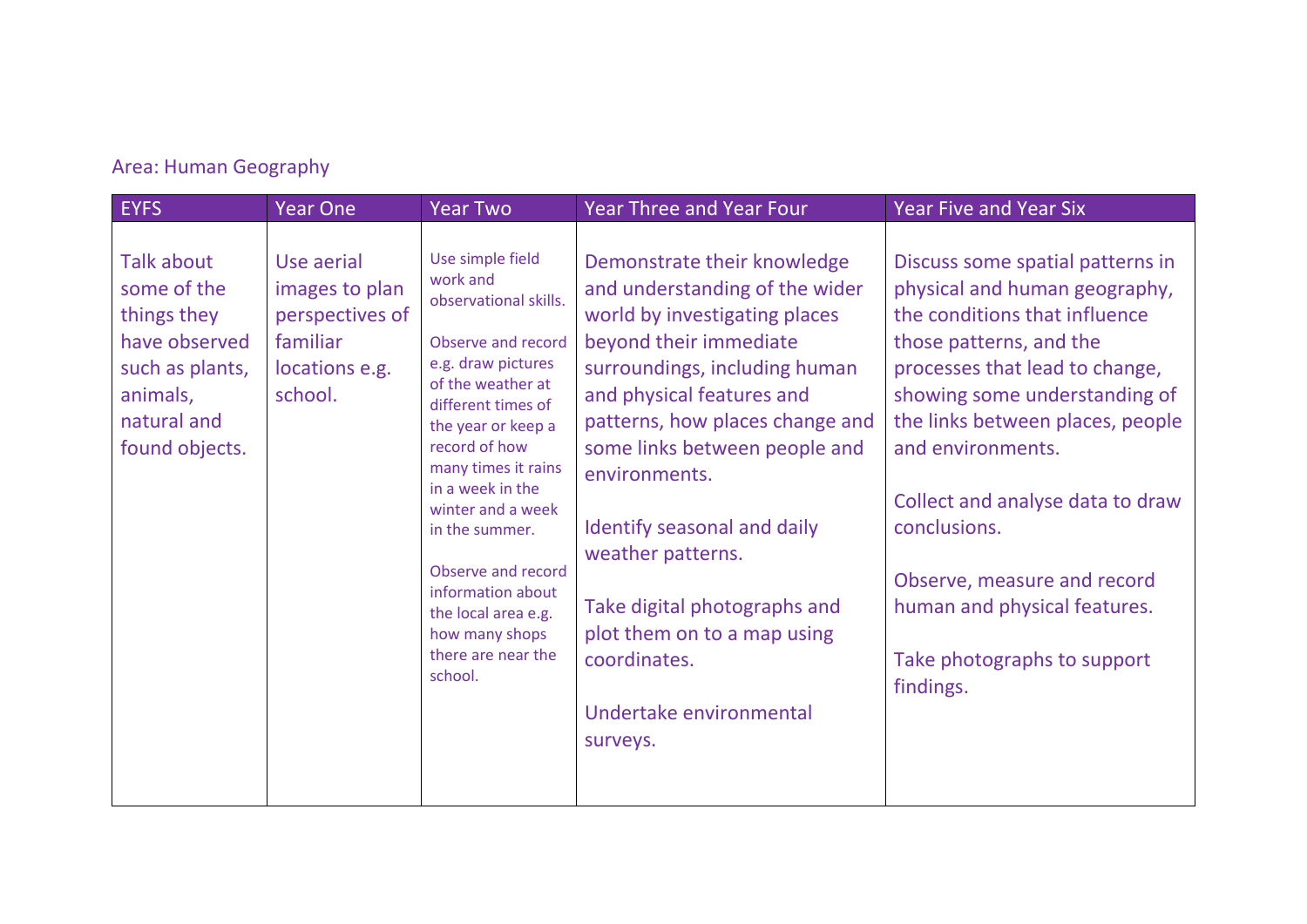## Area: Human Geography

| <b>EYFS</b>                                                                                                               | <b>Year One</b>                                                                          | <b>Year Two</b>                                                                                                                                                                                                                                                                                                                                                                            | <b>Year Three and Year Four</b>                                                                                                                                                                                                                                                                                                                                                                                                                       | <b>Year Five and Year Six</b>                                                                                                                                                                                                                                                                                                                                                                                            |
|---------------------------------------------------------------------------------------------------------------------------|------------------------------------------------------------------------------------------|--------------------------------------------------------------------------------------------------------------------------------------------------------------------------------------------------------------------------------------------------------------------------------------------------------------------------------------------------------------------------------------------|-------------------------------------------------------------------------------------------------------------------------------------------------------------------------------------------------------------------------------------------------------------------------------------------------------------------------------------------------------------------------------------------------------------------------------------------------------|--------------------------------------------------------------------------------------------------------------------------------------------------------------------------------------------------------------------------------------------------------------------------------------------------------------------------------------------------------------------------------------------------------------------------|
| Talk about<br>some of the<br>things they<br>have observed<br>such as plants,<br>animals,<br>natural and<br>found objects. | Use aerial<br>images to plan<br>perspectives of<br>familiar<br>locations e.g.<br>school. | Use simple field<br>work and<br>observational skills.<br>Observe and record<br>e.g. draw pictures<br>of the weather at<br>different times of<br>the year or keep a<br>record of how<br>many times it rains<br>in a week in the<br>winter and a week<br>in the summer.<br>Observe and record<br>information about<br>the local area e.g.<br>how many shops<br>there are near the<br>school. | Demonstrate their knowledge<br>and understanding of the wider<br>world by investigating places<br>beyond their immediate<br>surroundings, including human<br>and physical features and<br>patterns, how places change and<br>some links between people and<br>environments.<br>Identify seasonal and daily<br>weather patterns.<br>Take digital photographs and<br>plot them on to a map using<br>coordinates.<br>Undertake environmental<br>surveys. | Discuss some spatial patterns in<br>physical and human geography,<br>the conditions that influence<br>those patterns, and the<br>processes that lead to change,<br>showing some understanding of<br>the links between places, people<br>and environments.<br>Collect and analyse data to draw<br>conclusions.<br>Observe, measure and record<br>human and physical features.<br>Take photographs to support<br>findings. |